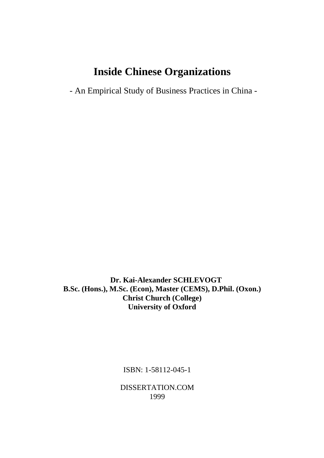# **Inside Chinese Organizations**

- An Empirical Study of Business Practices in China -

 **Dr. Kai-Alexander SCHLEVOGT B.Sc. (Hons.), M.Sc. (Econ), Master (CEMS), D.Phil. (Oxon.) Christ Church (College) University of Oxford**

ISBN: 1-58112-045-1

DISSERTATION.COM 1999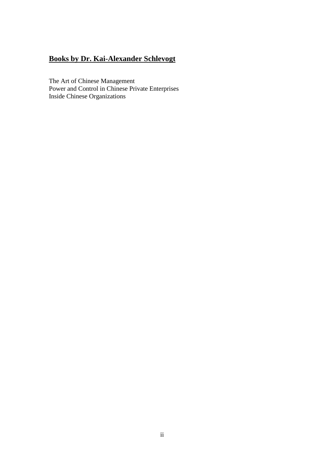## **Books by Dr. Kai-Alexander Schlevogt**

The Art of Chinese Management Power and Control in Chinese Private Enterprises Inside Chinese Organizations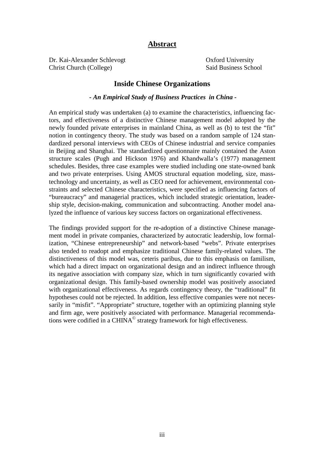#### **Abstract**

Dr. Kai-Alexander Schlevogt Cxford University Christ Church (College) Said Business School

#### **Inside Chinese Organizations**

#### *- An Empirical Study of Business Practices in China -*

An empirical study was undertaken (a) to examine the characteristics, influencing factors, and effectiveness of a distinctive Chinese management model adopted by the newly founded private enterprises in mainland China, as well as (b) to test the "fit" notion in contingency theory. The study was based on a random sample of 124 standardized personal interviews with CEOs of Chinese industrial and service companies in Beijing and Shanghai. The standardized questionnaire mainly contained the Aston structure scales (Pugh and Hickson 1976) and Khandwalla's (1977) management schedules. Besides, three case examples were studied including one state-owned bank and two private enterprises. Using AMOS structural equation modeling, size, masstechnology and uncertainty, as well as CEO need for achievement, environmental constraints and selected Chinese characteristics, were specified as influencing factors of "bureaucracy" and managerial practices, which included strategic orientation, leadership style, decision-making, communication and subcontracting. Another model analyzed the influence of various key success factors on organizational effectiveness.

The findings provided support for the re-adoption of a distinctive Chinese management model in private companies, characterized by autocratic leadership, low formalization, "Chinese entrepreneurship" and network-based "webs". Private enterprises also tended to readopt and emphasize traditional Chinese family-related values. The distinctiveness of this model was, ceteris paribus, due to this emphasis on familism, which had a direct impact on organizational design and an indirect influence through its negative association with company size, which in turn significantly covaried with organizational design. This family-based ownership model was positively associated with organizational effectiveness. As regards contingency theory, the "traditional" fit hypotheses could not be rejected. In addition, less effective companies were not necessarily in "misfit". "Appropriate" structure, together with an optimizing planning style and firm age, were positively associated with performance. Managerial recommendations were codified in a CHINA© strategy framework for high effectiveness.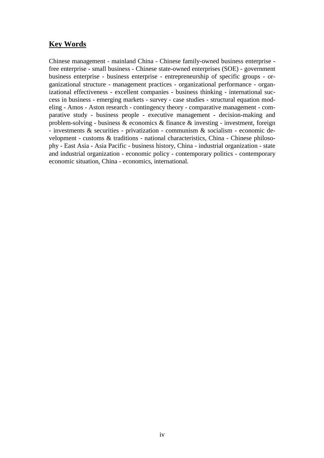#### **Key Words**

Chinese management - mainland China - Chinese family-owned business enterprise free enterprise - small business - Chinese state-owned enterprises (SOE) - government business enterprise - business enterprise - entrepreneurship of specific groups - organizational structure - management practices - organizational performance - organizational effectiveness - excellent companies - business thinking - international success in business - emerging markets - survey - case studies - structural equation modeling - Amos - Aston research - contingency theory - comparative management - comparative study - business people - executive management - decision-making and problem-solving - business & economics & finance & investing - investment, foreign - investments & securities - privatization - communism & socialism - economic development - customs & traditions - national characteristics, China - Chinese philosophy - East Asia - Asia Pacific - business history, China - industrial organization - state and industrial organization - economic policy - contemporary politics - contemporary economic situation, China - economics, international.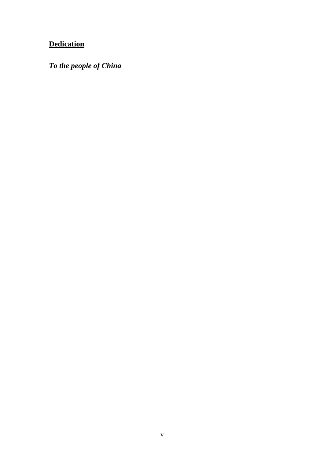## **Dedication**

*To the people of China*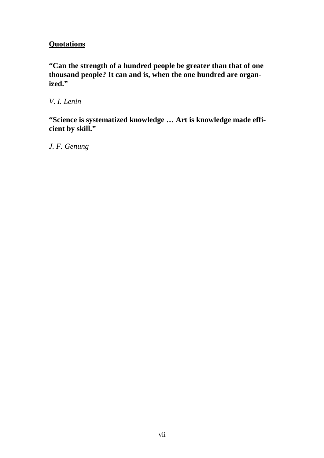#### **Quotations**

**"Can the strength of a hundred people be greater than that of one thousand people? It can and is, when the one hundred are organized."**

*V. I. Lenin*

**"Science is systematized knowledge … Art is knowledge made efficient by skill."**

*J. F. Genung*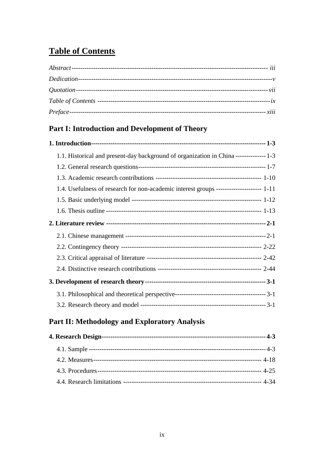## **Table of Contents**

| <i>xiii</i> |
|-------------|

#### Part I: Introduction and Development of Theory

| 1.4. Usefulness of research for non-academic interest groups --------------------- 1-11 |  |
|-----------------------------------------------------------------------------------------|--|
|                                                                                         |  |
|                                                                                         |  |
|                                                                                         |  |
|                                                                                         |  |
|                                                                                         |  |
|                                                                                         |  |
|                                                                                         |  |
|                                                                                         |  |
|                                                                                         |  |
|                                                                                         |  |

## Part II: Methodology and Exploratory Analysis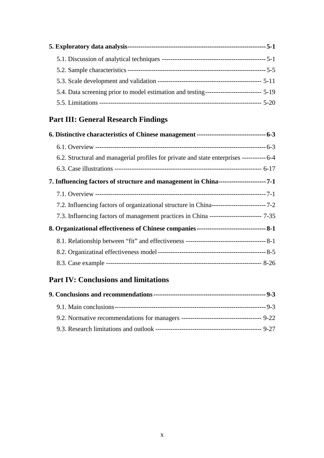| 5.4. Data screening prior to model estimation and testing---------------------------- 5-19 |  |
|--------------------------------------------------------------------------------------------|--|
|                                                                                            |  |

## **Part III: General Research Findings**

| 6.2. Structural and managerial profiles for private and state enterprises ----------- 6-4 |  |  |
|-------------------------------------------------------------------------------------------|--|--|
|                                                                                           |  |  |
|                                                                                           |  |  |
|                                                                                           |  |  |
|                                                                                           |  |  |
| 7.3. Influencing factors of management practices in China ----------------------- 7-35    |  |  |
|                                                                                           |  |  |
|                                                                                           |  |  |
|                                                                                           |  |  |
|                                                                                           |  |  |

## **Part IV: Conclusions and limitations**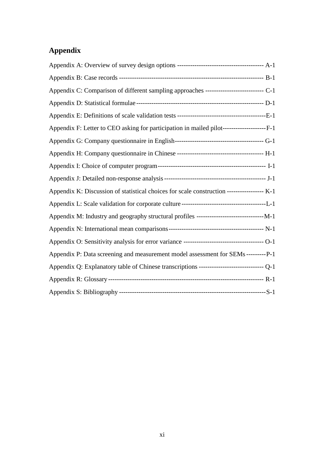## **Appendix**

| Appendix C: Comparison of different sampling approaches ----------------------------- C-1   |  |
|---------------------------------------------------------------------------------------------|--|
|                                                                                             |  |
|                                                                                             |  |
| Appendix F: Letter to CEO asking for participation in mailed pilot----------------------F-1 |  |
|                                                                                             |  |
|                                                                                             |  |
|                                                                                             |  |
|                                                                                             |  |
| Appendix K: Discussion of statistical choices for scale construction ----------------- K-1  |  |
|                                                                                             |  |
|                                                                                             |  |
|                                                                                             |  |
|                                                                                             |  |
| Appendix P: Data screening and measurement model assessment for SEMs ---------P-1           |  |
|                                                                                             |  |
|                                                                                             |  |
|                                                                                             |  |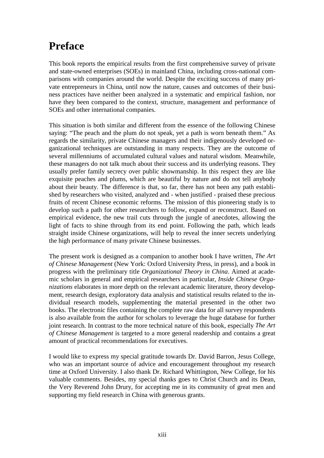# **Preface**

This book reports the empirical results from the first comprehensive survey of private and state-owned enterprises (SOEs) in mainland China, including cross-national comparisons with companies around the world. Despite the exciting success of many private entrepreneurs in China, until now the nature, causes and outcomes of their business practices have neither been analyzed in a systematic and empirical fashion, nor have they been compared to the context, structure, management and performance of SOEs and other international companies.

This situation is both similar and different from the essence of the following Chinese saying: "The peach and the plum do not speak, yet a path is worn beneath them." As regards the similarity, private Chinese managers and their indigenously developed organizational techniques are outstanding in many respects. They are the outcome of several millenniums of accumulated cultural values and natural wisdom. Meanwhile, these managers do not talk much about their success and its underlying reasons. They usually prefer family secrecy over public showmanship. In this respect they are like exquisite peaches and plums, which are beautiful by nature and do not tell anybody about their beauty. The difference is that, so far, there has not been any path established by researchers who visited, analyzed and - when justified - praised these precious fruits of recent Chinese economic reforms. The mission of this pioneering study is to develop such a path for other researchers to follow, expand or reconstruct. Based on empirical evidence, the new trail cuts through the jungle of anecdotes, allowing the light of facts to shine through from its end point. Following the path, which leads straight inside Chinese organizations, will help to reveal the inner secrets underlying the high performance of many private Chinese businesses.

The present work is designed as a companion to another book I have written, *The Art of Chinese Management* (New York: Oxford University Press, in press), and a book in progress with the preliminary title *Organizational Theory in China*. Aimed at academic scholars in general and empirical researchers in particular, *Inside Chinese Organizations* elaborates in more depth on the relevant academic literature, theory development, research design, exploratory data analysis and statistical results related to the individual research models, supplementing the material presented in the other two books. The electronic files containing the complete raw data for all survey respondents is also available from the author for scholars to leverage the huge database for further joint research. In contrast to the more technical nature of this book, especially *The Art of Chinese Management* is targeted to a more general readership and contains a great amount of practical recommendations for executives.

I would like to express my special gratitude towards Dr. David Barron, Jesus College, who was an important source of advice and encouragement throughout my research time at Oxford University. I also thank Dr. Richard Whittington, New College, for his valuable comments. Besides, my special thanks goes to Christ Church and its Dean, the Very Reverend John Drury, for accepting me in its community of great men and supporting my field research in China with generous grants.